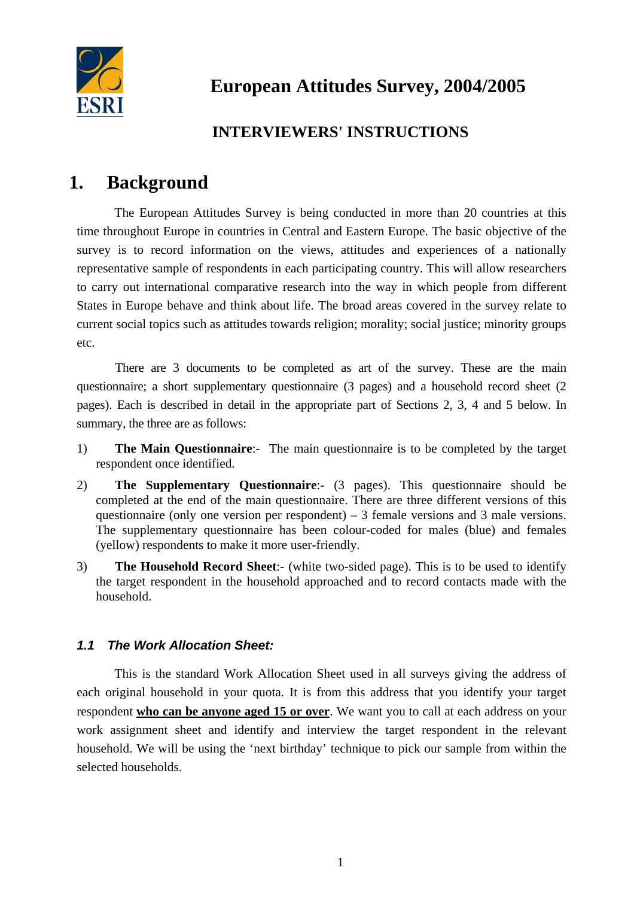

# **INTERVIEWERS' INSTRUCTIONS**

# **1. Background**

The European Attitudes Survey is being conducted in more than 20 countries at this time throughout Europe in countries in Central and Eastern Europe. The basic objective of the survey is to record information on the views, attitudes and experiences of a nationally representative sample of respondents in each participating country. This will allow researchers to carry out international comparative research into the way in which people from different States in Europe behave and think about life. The broad areas covered in the survey relate to current social topics such as attitudes towards religion; morality; social justice; minority groups etc.

There are 3 documents to be completed as art of the survey. These are the main questionnaire; a short supplementary questionnaire (3 pages) and a household record sheet (2 pages). Each is described in detail in the appropriate part of Sections 2, 3, 4 and 5 below. In summary, the three are as follows:

- 1) **The Main Questionnaire**:- The main questionnaire is to be completed by the target respondent once identified.
- 2) **The Supplementary Questionnaire**:- (3 pages). This questionnaire should be completed at the end of the main questionnaire. There are three different versions of this questionnaire (only one version per respondent) – 3 female versions and 3 male versions. The supplementary questionnaire has been colour-coded for males (blue) and females (yellow) respondents to make it more user-friendly.
- 3) **The Household Record Sheet**:- (white two-sided page). This is to be used to identify the target respondent in the household approached and to record contacts made with the household.

## *1.1 The Work Allocation Sheet:*

This is the standard Work Allocation Sheet used in all surveys giving the address of each original household in your quota. It is from this address that you identify your target respondent **who can be anyone aged 15 or over**. We want you to call at each address on your work assignment sheet and identify and interview the target respondent in the relevant household. We will be using the 'next birthday' technique to pick our sample from within the selected households.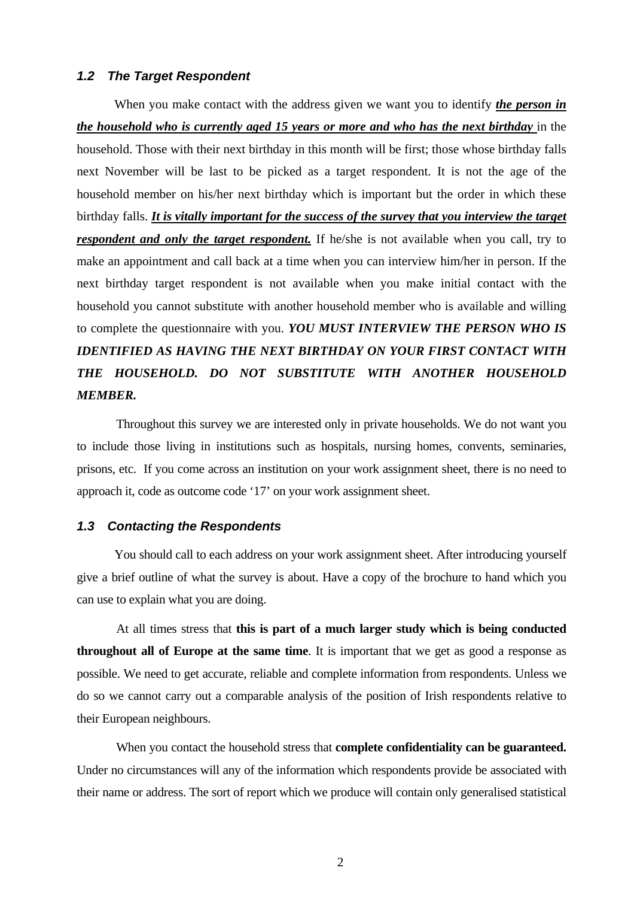#### *1.2 The Target Respondent*

When you make contact with the address given we want you to identify *the person in the household who is currently aged 15 years or more and who has the next birthday* in the household. Those with their next birthday in this month will be first; those whose birthday falls next November will be last to be picked as a target respondent. It is not the age of the household member on his/her next birthday which is important but the order in which these birthday falls. *It is vitally important for the success of the survey that you interview the target respondent and only the target respondent*. If he/she is not available when you call, try to make an appointment and call back at a time when you can interview him/her in person. If the next birthday target respondent is not available when you make initial contact with the household you cannot substitute with another household member who is available and willing to complete the questionnaire with you. *YOU MUST INTERVIEW THE PERSON WHO IS IDENTIFIED AS HAVING THE NEXT BIRTHDAY ON YOUR FIRST CONTACT WITH THE HOUSEHOLD. DO NOT SUBSTITUTE WITH ANOTHER HOUSEHOLD MEMBER.*

Throughout this survey we are interested only in private households. We do not want you to include those living in institutions such as hospitals, nursing homes, convents, seminaries, prisons, etc. If you come across an institution on your work assignment sheet, there is no need to approach it, code as outcome code '17' on your work assignment sheet.

#### *1.3 Contacting the Respondents*

You should call to each address on your work assignment sheet. After introducing yourself give a brief outline of what the survey is about. Have a copy of the brochure to hand which you can use to explain what you are doing.

At all times stress that **this is part of a much larger study which is being conducted throughout all of Europe at the same time**. It is important that we get as good a response as possible. We need to get accurate, reliable and complete information from respondents. Unless we do so we cannot carry out a comparable analysis of the position of Irish respondents relative to their European neighbours.

When you contact the household stress that **complete confidentiality can be guaranteed.** Under no circumstances will any of the information which respondents provide be associated with their name or address. The sort of report which we produce will contain only generalised statistical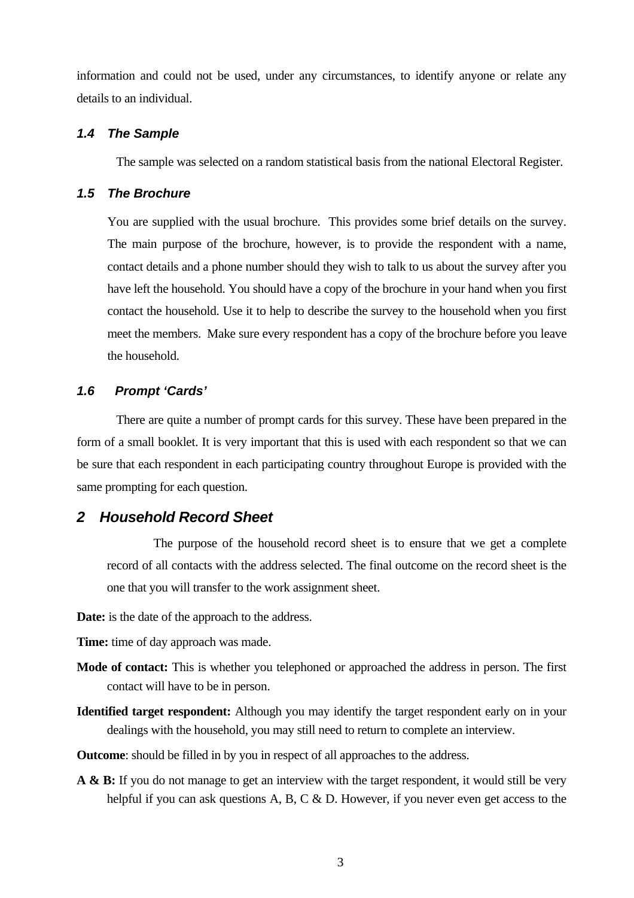information and could not be used, under any circumstances, to identify anyone or relate any details to an individual.

#### *1.4 The Sample*

The sample was selected on a random statistical basis from the national Electoral Register.

## *1.5 The Brochure*

You are supplied with the usual brochure. This provides some brief details on the survey. The main purpose of the brochure, however, is to provide the respondent with a name, contact details and a phone number should they wish to talk to us about the survey after you have left the household. You should have a copy of the brochure in your hand when you first contact the household. Use it to help to describe the survey to the household when you first meet the members. Make sure every respondent has a copy of the brochure before you leave the household.

## *1.6 Prompt 'Cards'*

There are quite a number of prompt cards for this survey. These have been prepared in the form of a small booklet. It is very important that this is used with each respondent so that we can be sure that each respondent in each participating country throughout Europe is provided with the same prompting for each question.

## *2 Household Record Sheet*

The purpose of the household record sheet is to ensure that we get a complete record of all contacts with the address selected. The final outcome on the record sheet is the one that you will transfer to the work assignment sheet.

**Date:** is the date of the approach to the address.

**Time:** time of day approach was made.

- **Mode of contact:** This is whether you telephoned or approached the address in person. The first contact will have to be in person.
- **Identified target respondent:** Although you may identify the target respondent early on in your dealings with the household, you may still need to return to complete an interview.

**Outcome**: should be filled in by you in respect of all approaches to the address.

**A & B:** If you do not manage to get an interview with the target respondent, it would still be very helpful if you can ask questions A, B, C & D. However, if you never even get access to the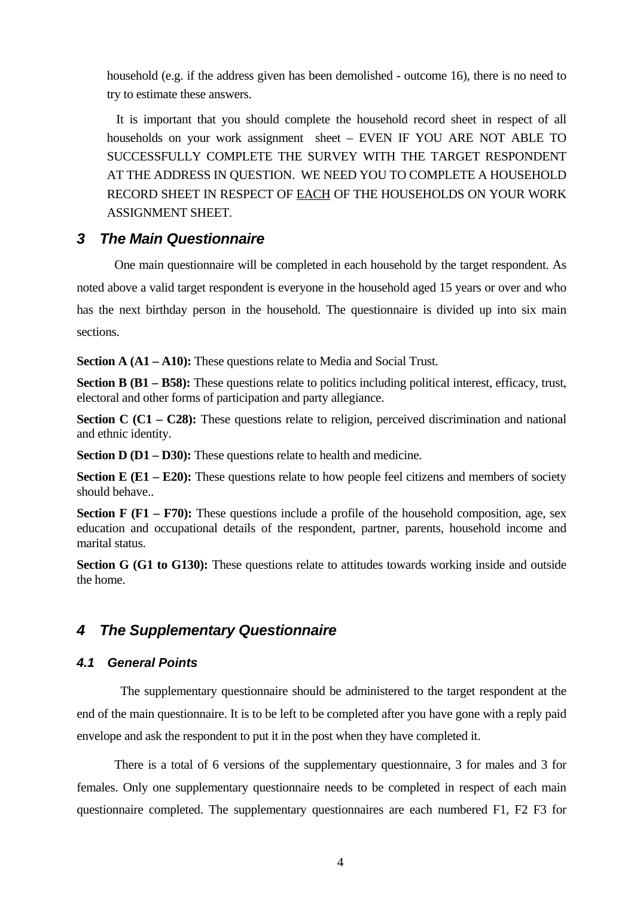household (e.g. if the address given has been demolished - outcome 16), there is no need to try to estimate these answers.

It is important that you should complete the household record sheet in respect of all households on your work assignment sheet – EVEN IF YOU ARE NOT ABLE TO SUCCESSFULLY COMPLETE THE SURVEY WITH THE TARGET RESPONDENT AT THE ADDRESS IN QUESTION. WE NEED YOU TO COMPLETE A HOUSEHOLD RECORD SHEET IN RESPECT OF EACH OF THE HOUSEHOLDS ON YOUR WORK ASSIGNMENT SHEET.

## *3 The Main Questionnaire*

One main questionnaire will be completed in each household by the target respondent. As noted above a valid target respondent is everyone in the household aged 15 years or over and who has the next birthday person in the household. The questionnaire is divided up into six main sections.

**Section A (A1 – A10):** These questions relate to Media and Social Trust.

**Section B (B1 – B58):** These questions relate to politics including political interest, efficacy, trust, electoral and other forms of participation and party allegiance.

**Section C (C1 – C28):** These questions relate to religion, perceived discrimination and national and ethnic identity.

**Section D (D1 – D30):** These questions relate to health and medicine.

**Section E (E1 – E20):** These questions relate to how people feel citizens and members of society should behave..

**Section F (F1 – F70):** These questions include a profile of the household composition, age, sex education and occupational details of the respondent, partner, parents, household income and marital status.

**Section G (G1 to G130):** These questions relate to attitudes towards working inside and outside the home.

## *4 The Supplementary Questionnaire*

### *4.1 General Points*

The supplementary questionnaire should be administered to the target respondent at the end of the main questionnaire. It is to be left to be completed after you have gone with a reply paid envelope and ask the respondent to put it in the post when they have completed it.

There is a total of 6 versions of the supplementary questionnaire, 3 for males and 3 for females. Only one supplementary questionnaire needs to be completed in respect of each main questionnaire completed. The supplementary questionnaires are each numbered F1, F2 F3 for